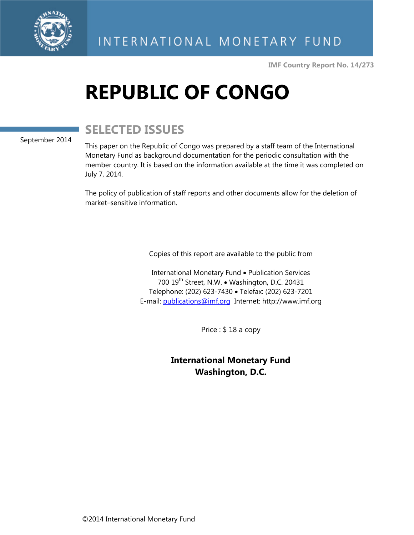

**IMF Country Report No. 14/273** 

# **REPUBLIC OF CONGO**

# **SELECTED ISSUES**

#### September 2014

This paper on the Republic of Congo was prepared by a staff team of the International Monetary Fund as background documentation for the periodic consultation with the member country. It is based on the information available at the time it was completed on July 7, 2014.

The policy of publication of staff reports and other documents allow for the deletion of market–sensitive information.

Copies of this report are available to the public from

International Monetary Fund • Publication Services 700 19<sup>th</sup> Street, N.W. • Washington, D.C. 20431 Telephone: (202) 623-7430 · Telefax: (202) 623-7201 E-mail: publications@imf.org Internet: http://www.imf.org

Price : \$ 18 a copy

**International Monetary Fund Washington, D.C.**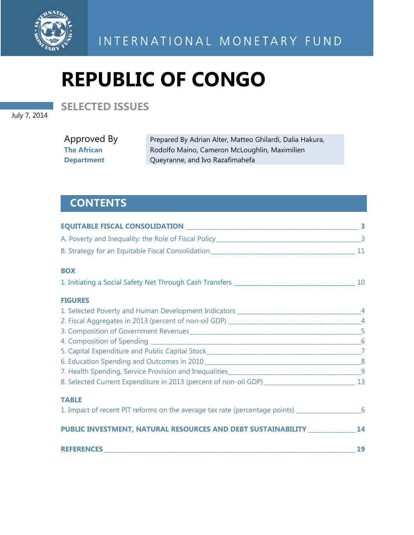

INTERNATIONAL MONETARY FUND

# **REPUBLIC OF CONGO**

July 7, 2014

**SELECTED ISSUES** 

Approved By **The African Department** 

Prepared By Adrian Alter, Matteo Ghilardi, Dalia Hakura, Rodolfo Maino, Cameron McLoughlin, Maximilien Queyranne, and Ivo Razafimahefa

# **CONTENTS**

| <b>BOX</b>                                                                                              |    |
|---------------------------------------------------------------------------------------------------------|----|
|                                                                                                         |    |
| <b>FIGURES</b>                                                                                          |    |
|                                                                                                         |    |
|                                                                                                         |    |
|                                                                                                         |    |
|                                                                                                         | 6  |
|                                                                                                         |    |
|                                                                                                         |    |
|                                                                                                         |    |
| 8. Selected Current Expenditure in 2013 (percent of non-oil GDP) ___________________________________ 13 |    |
| <b>TABLE</b>                                                                                            |    |
| 1. Impact of recent PIT reforms on the average tax rate (percentage points) _______________________6    |    |
| PUBLIC INVESTMENT, NATURAL RESOURCES AND DEBT SUSTAINABILITY ______________ 14                          |    |
|                                                                                                         | 19 |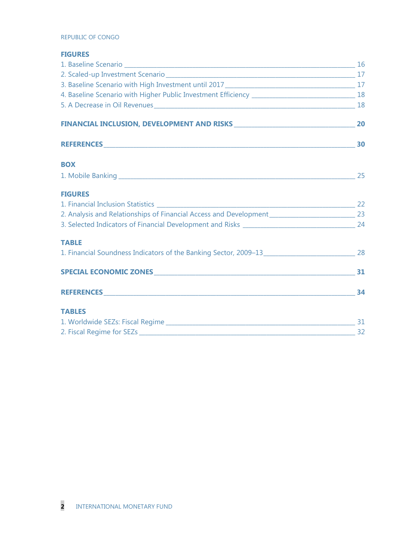#### REPUBLIC OF CONGO

#### **FIGURES**

| <b>BOX</b>     |  |
|----------------|--|
|                |  |
| <b>FIGURES</b> |  |
|                |  |
|                |  |
|                |  |
| <b>TABLE</b>   |  |
|                |  |
|                |  |
|                |  |
| <b>TABLES</b>  |  |
|                |  |
|                |  |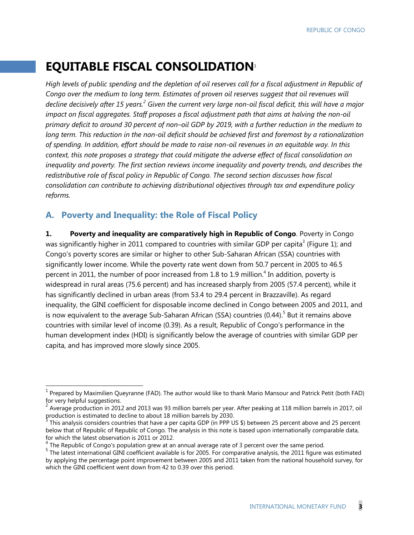## **EQUITABLE FISCAL CONSOLIDATION**<sup>1</sup>

*High levels of public spending and the depletion of oil reserves call for a fiscal adjustment in Republic of*  Congo over the medium to long term. Estimates of proven oil reserves suggest that oil revenues will decline decisively after 15 years.<sup>2</sup> Given the current very large non-oil fiscal deficit, this will have a major *impact on fiscal aggregates. Staff proposes a fiscal adjustment path that aims at halving the non-oil primary deficit to around 30 percent of non–oil GDP by 2019, with a further reduction in the medium to long term. This reduction in the non-oil deficit should be achieved first and foremost by a rationalization of spending. In addition, effort should be made to raise non-oil revenues in an equitable way. In this context, this note proposes a strategy that could mitigate the adverse effect of fiscal consolidation on inequality and poverty. The first section reviews income inequality and poverty trends, and describes the redistributive role of fiscal policy in Republic of Congo. The second section discusses how fiscal consolidation can contribute to achieving distributional objectives through tax and expenditure policy reforms.*

#### **A. Poverty and Inequality: the Role of Fiscal Policy**

-

**1. Poverty and inequality are comparatively high in Republic of Congo**. Poverty in Congo was significantly higher in 2011 compared to countries with similar GDP per capita<sup>3</sup> (Figure 1); and Congo's poverty scores are similar or higher to other Sub-Saharan African (SSA) countries with significantly lower income. While the poverty rate went down from 50.7 percent in 2005 to 46.5 percent in 2011, the number of poor increased from 1.8 to 1.9 million.<sup>4</sup> In addition, poverty is widespread in rural areas (75.6 percent) and has increased sharply from 2005 (57.4 percent), while it has significantly declined in urban areas (from 53.4 to 29.4 percent in Brazzaville). As regard inequality, the GINI coefficient for disposable income declined in Congo between 2005 and 2011, and is now equivalent to the average Sub-Saharan African (SSA) countries (0.44).<sup>5</sup> But it remains above countries with similar level of income (0.39). As a result, Republic of Congo's performance in the human development index (HDI) is significantly below the average of countries with similar GDP per capita, and has improved more slowly since 2005.

 $^1$  Prepared by Maximilien Queyranne (FAD). The author would like to thank Mario Mansour and Patrick Petit (both FAD) for very helpful suggestions.<br><sup>2</sup> Augusts readuction in 2012

Average production in 2012 and 2013 was 93 million barrels per year. After peaking at 118 million barrels in 2017, oil production is estimated to decline to about 18 million barrels by 2030.

This analysis considers countries that have a per capita GDP (in PPP US \$) between 25 percent above and 25 percent below that of Republic of Republic of Congo. The analysis in this note is based upon internationally comparable data, for which the latest observation is 2011 or 2012.

<sup>&</sup>lt;sup>4</sup> The Republic of Congo's population grew at an annual average rate of 3 percent over the same period.<br><sup>5</sup> The latest international CINI as efficient qualible is for 2005. For comparative analysis the 2011 finus us

 $<sup>5</sup>$  The latest international GINI coefficient available is for 2005. For comparative analysis, the 2011 figure was estimated</sup> by applying the percentage point improvement between 2005 and 2011 taken from the national household survey, for which the GINI coefficient went down from 42 to 0.39 over this period.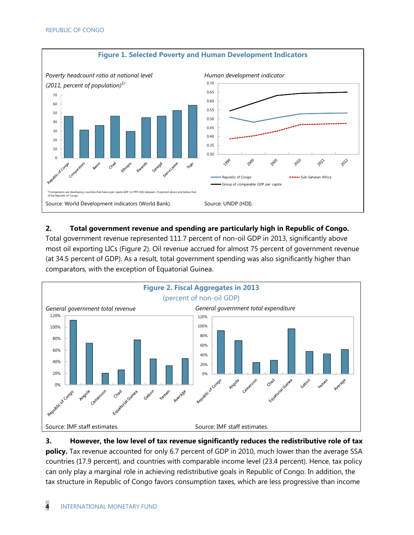

#### **2. Total government revenue and spending are particularly high in Republic of Congo.**

Total government revenue represented 111.7 percent of non-oil GDP in 2013, significantly above most oil exporting LICs (Figure 2). Oil revenue accrued for almost 75 percent of government revenue (at 34.5 percent of GDP). As a result, total government spending was also significantly higher than comparators, with the exception of Equatorial Guinea.



**3. However, the low level of tax revenue significantly reduces the redistributive role of tax policy.** Tax revenue accounted for only 6.7 percent of GDP in 2010, much lower than the average SSA countries (17.9 percent), and countries with comparable income level (23.4 percent). Hence, tax policy can only play a marginal role in achieving redistributive goals in Republic of Congo. In addition, the tax structure in Republic of Congo favors consumption taxes, which are less progressive than income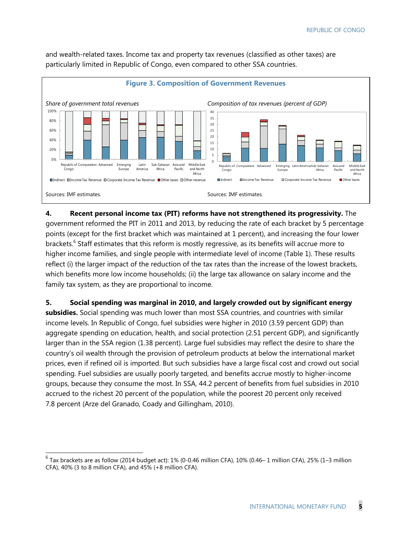

and wealth-related taxes. Income tax and property tax revenues (classified as other taxes) are particularly limited in Republic of Congo, even compared to other SSA countries.

#### **4. Recent personal income tax (PIT) reforms have not strengthened its progressivity.** The

government reformed the PIT in 2011 and 2013, by reducing the rate of each bracket by 5 percentage points (except for the first bracket which was maintained at 1 percent), and increasing the four lower brackets.<sup>6</sup> Staff estimates that this reform is mostly regressive, as its benefits will accrue more to higher income families, and single people with intermediate level of income (Table 1). These results reflect (i) the larger impact of the reduction of the tax rates than the increase of the lowest brackets, which benefits more low income households; (ii) the large tax allowance on salary income and the family tax system, as they are proportional to income.

**5. Social spending was marginal in 2010, and largely crowded out by significant energy subsidies.** Social spending was much lower than most SSA countries, and countries with similar income levels. In Republic of Congo, fuel subsidies were higher in 2010 (3.59 percent GDP) than aggregate spending on education, health, and social protection (2.51 percent GDP), and significantly larger than in the SSA region (1.38 percent). Large fuel subsidies may reflect the desire to share the country's oil wealth through the provision of petroleum products at below the international market prices, even if refined oil is imported. But such subsidies have a large fiscal cost and crowd out social spending. Fuel subsidies are usually poorly targeted, and benefits accrue mostly to higher-income groups, because they consume the most. In SSA, 44.2 percent of benefits from fuel subsidies in 2010 accrued to the richest 20 percent of the population, while the poorest 20 percent only received 7.8 percent (Arze del Granado, Coady and Gillingham, 2010). 

 $\overline{a}$ 

 $^6$  Tax brackets are as follow (2014 budget act): 1% (0-0.46 million CFA), 10% (0.46– 1 million CFA), 25% (1–3 million CFA), 40% (3 to 8 million CFA), and 45% (+8 million CFA).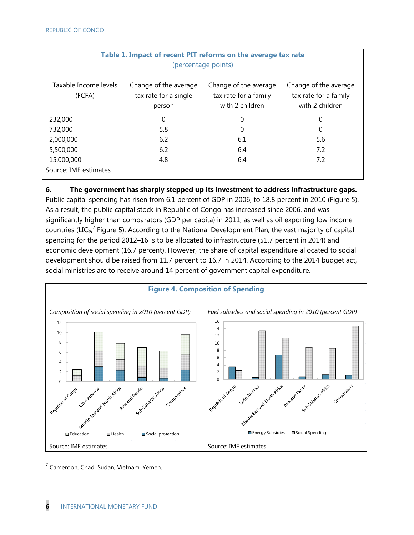| Table 1. Impact of recent PIT reforms on the average tax rate<br>(percentage points) |                                                          |                                                                   |                                                                   |  |
|--------------------------------------------------------------------------------------|----------------------------------------------------------|-------------------------------------------------------------------|-------------------------------------------------------------------|--|
| Taxable Income levels<br>(FCFA)                                                      | Change of the average<br>tax rate for a single<br>person | Change of the average<br>tax rate for a family<br>with 2 children | Change of the average<br>tax rate for a family<br>with 2 children |  |
| 232,000                                                                              | 0                                                        | 0                                                                 | 0                                                                 |  |
| 732,000                                                                              | 5.8                                                      | 0                                                                 | 0                                                                 |  |
| 2,000,000                                                                            | 6.2                                                      | 6.1                                                               | 5.6                                                               |  |
| 5,500,000                                                                            | 6.2                                                      | 6.4                                                               | 7.2                                                               |  |
| 15,000,000                                                                           | 4.8                                                      | 6.4                                                               | 7.2                                                               |  |
| Source: IMF estimates.                                                               |                                                          |                                                                   |                                                                   |  |

# **Table 1. Impact of recent PIT reforms on the average tax rate**

#### **6. The government has sharply stepped up its investment to address infrastructure gaps.**

Public capital spending has risen from 6.1 percent of GDP in 2006, to 18.8 percent in 2010 (Figure 5). As a result, the public capital stock in Republic of Congo has increased since 2006, and was significantly higher than comparators (GDP per capita) in 2011, as well as oil exporting low income countries (LICs, $^7$  Figure 5). According to the National Development Plan, the vast majority of capital spending for the period 2012–16 is to be allocated to infrastructure (51.7 percent in 2014) and economic development (16.7 percent). However, the share of capital expenditure allocated to social development should be raised from 11.7 percent to 16.7 in 2014. According to the 2014 budget act, social ministries are to receive around 14 percent of government capital expenditure.



<sup>7</sup> Cameroon, Chad, Sudan, Vietnam, Yemen.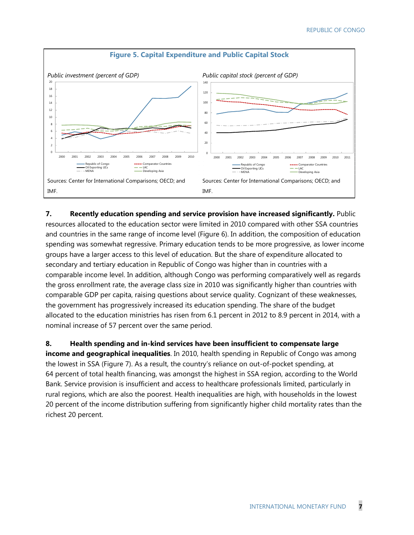

**7. Recently education spending and service provision have increased significantly.** Public resources allocated to the education sector were limited in 2010 compared with other SSA countries and countries in the same range of income level (Figure 6). In addition, the composition of education spending was somewhat regressive. Primary education tends to be more progressive, as lower income groups have a larger access to this level of education. But the share of expenditure allocated to secondary and tertiary education in Republic of Congo was higher than in countries with a comparable income level. In addition, although Congo was performing comparatively well as regards the gross enrollment rate, the average class size in 2010 was significantly higher than countries with comparable GDP per capita, raising questions about service quality. Cognizant of these weaknesses, the government has progressively increased its education spending. The share of the budget allocated to the education ministries has risen from 6.1 percent in 2012 to 8.9 percent in 2014, with a nominal increase of 57 percent over the same period.

**8. Health spending and in-kind services have been insufficient to compensate large income and geographical inequalities**. In 2010, health spending in Republic of Congo was among the lowest in SSA (Figure 7). As a result, the country's reliance on out-of-pocket spending, at 64 percent of total health financing, was amongst the highest in SSA region, according to the World Bank. Service provision is insufficient and access to healthcare professionals limited, particularly in rural regions, which are also the poorest. Health inequalities are high, with households in the lowest 20 percent of the income distribution suffering from significantly higher child mortality rates than the richest 20 percent.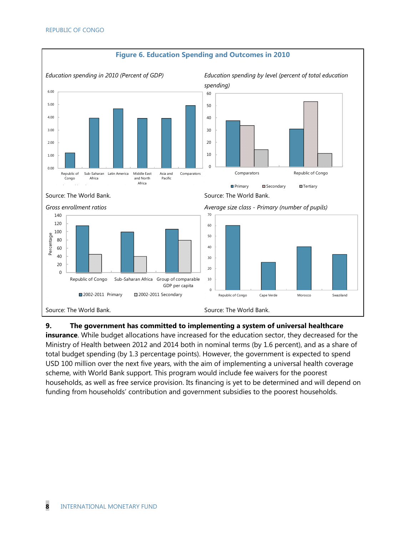

#### **Figure 6. Education Spending and Outcomes in 2010**

#### **9. The government has committed to implementing a system of universal healthcare**

**insurance**. While budget allocations have increased for the education sector, they decreased for the Ministry of Health between 2012 and 2014 both in nominal terms (by 1.6 percent), and as a share of total budget spending (by 1.3 percentage points). However, the government is expected to spend USD 100 million over the next five years, with the aim of implementing a universal health coverage scheme, with World Bank support. This program would include fee waivers for the poorest households, as well as free service provision. Its financing is yet to be determined and will depend on funding from households' contribution and government subsidies to the poorest households.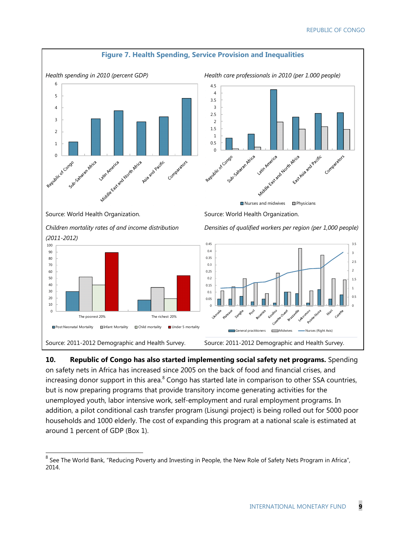

**10. Republic of Congo has also started implementing social safety net programs.** Spending on safety nets in Africa has increased since 2005 on the back of food and financial crises, and increasing donor support in this area.<sup>8</sup> Congo has started late in comparison to other SSA countries, but is now preparing programs that provide transitory income generating activities for the unemployed youth, labor intensive work, self-employment and rural employment programs. In addition, a pilot conditional cash transfer program (Lisungi project) is being rolled out for 5000 poor households and 1000 elderly. The cost of expanding this program at a national scale is estimated at around 1 percent of GDP (Box 1).

 $\overline{a}$ 

 $^8$  See The World Bank, "Reducing Poverty and Investing in People, the New Role of Safety Nets Program in Africa", 2014.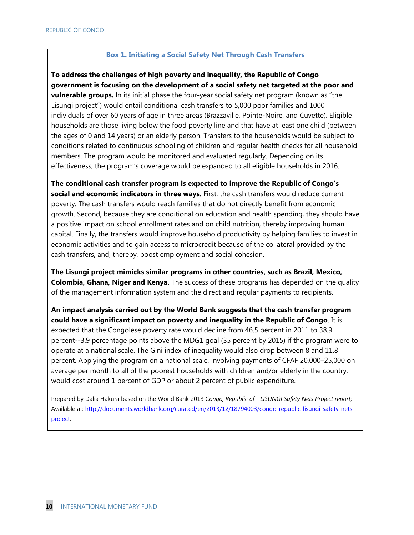#### **Box 1. Initiating a Social Safety Net Through Cash Transfers**

**To address the challenges of high poverty and inequality, the Republic of Congo government is focusing on the development of a social safety net targeted at the poor and vulnerable groups.** In its initial phase the four-year social safety net program (known as "the Lisungi project") would entail conditional cash transfers to 5,000 poor families and 1000 individuals of over 60 years of age in three areas (Brazzaville, Pointe-Noire, and Cuvette). Eligible households are those living below the food poverty line and that have at least one child (between the ages of 0 and 14 years) or an elderly person. Transfers to the households would be subject to conditions related to continuous schooling of children and regular health checks for all household members. The program would be monitored and evaluated regularly. Depending on its effectiveness, the program's coverage would be expanded to all eligible households in 2016.

**The conditional cash transfer program is expected to improve the Republic of Congo's social and economic indicators in three ways.** First, the cash transfers would reduce current poverty. The cash transfers would reach families that do not directly benefit from economic growth. Second, because they are conditional on education and health spending, they should have a positive impact on school enrollment rates and on child nutrition, thereby improving human capital. Finally, the transfers would improve household productivity by helping families to invest in economic activities and to gain access to microcredit because of the collateral provided by the cash transfers, and, thereby, boost employment and social cohesion.

**The Lisungi project mimicks similar programs in other countries, such as Brazil, Mexico, Colombia, Ghana, Niger and Kenya.** The success of these programs has depended on the quality of the management information system and the direct and regular payments to recipients.

**An impact analysis carried out by the World Bank suggests that the cash transfer program could have a significant impact on poverty and inequality in the Republic of Congo**. It is expected that the Congolese poverty rate would decline from 46.5 percent in 2011 to 38.9 percent--3.9 percentage points above the MDG1 goal (35 percent by 2015) if the program were to operate at a national scale. The Gini index of inequality would also drop between 8 and 11.8 percent. Applying the program on a national scale, involving payments of CFAF 20,000–25,000 on average per month to all of the poorest households with children and/or elderly in the country, would cost around 1 percent of GDP or about 2 percent of public expenditure.

Prepared by Dalia Hakura based on the World Bank 2013 *Congo, Republic of - LISUNGI Safety Nets Project report*; Available at: http://documents.worldbank.org/curated/en/2013/12/18794003/congo-republic-lisungi-safety-netsproject.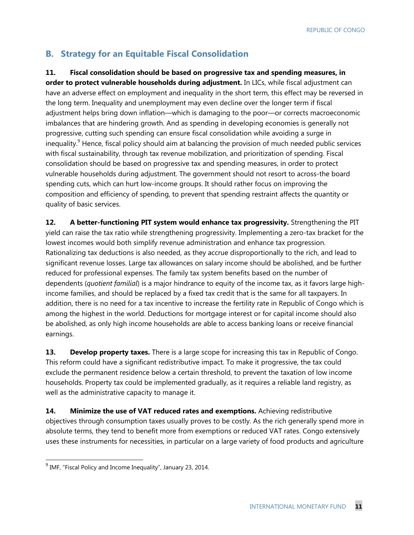#### **B. Strategy for an Equitable Fiscal Consolidation**

#### **11. Fiscal consolidation should be based on progressive tax and spending measures, in**

**order to protect vulnerable households during adjustment.** In LICs, while fiscal adjustment can have an adverse effect on employment and inequality in the short term, this effect may be reversed in the long term. Inequality and unemployment may even decline over the longer term if fiscal adjustment helps bring down inflation—which is damaging to the poor—or corrects macroeconomic imbalances that are hindering growth. And as spending in developing economies is generally not progressive, cutting such spending can ensure fiscal consolidation while avoiding a surge in inequality.<sup>9</sup> Hence, fiscal policy should aim at balancing the provision of much needed public services with fiscal sustainability, through tax revenue mobilization, and prioritization of spending. Fiscal consolidation should be based on progressive tax and spending measures, in order to protect vulnerable households during adjustment. The government should not resort to across-the board spending cuts, which can hurt low-income groups. It should rather focus on improving the composition and efficiency of spending, to prevent that spending restraint affects the quantity or quality of basic services.

**12. A better-functioning PIT system would enhance tax progressivity.** Strengthening the PIT yield can raise the tax ratio while strengthening progressivity. Implementing a zero-tax bracket for the lowest incomes would both simplify revenue administration and enhance tax progression. Rationalizing tax deductions is also needed, as they accrue disproportionally to the rich, and lead to significant revenue losses. Large tax allowances on salary income should be abolished, and be further reduced for professional expenses. The family tax system benefits based on the number of dependents (*quotient familial*) is a major hindrance to equity of the income tax, as it favors large highincome families, and should be replaced by a fixed tax credit that is the same for all taxpayers. In addition, there is no need for a tax incentive to increase the fertility rate in Republic of Congo which is among the highest in the world. Deductions for mortgage interest or for capital income should also be abolished, as only high income households are able to access banking loans or receive financial earnings.

13. **Develop property taxes.** There is a large scope for increasing this tax in Republic of Congo. This reform could have a significant redistributive impact. To make it progressive, the tax could exclude the permanent residence below a certain threshold, to prevent the taxation of low income households. Property tax could be implemented gradually, as it requires a reliable land registry, as well as the administrative capacity to manage it.

**14. Minimize the use of VAT reduced rates and exemptions.** Achieving redistributive objectives through consumption taxes usually proves to be costly. As the rich generally spend more in absolute terms, they tend to benefit more from exemptions or reduced VAT rates. Congo extensively uses these instruments for necessities, in particular on a large variety of food products and agriculture

<sup>&</sup>lt;sup>9</sup> IMF, "Fiscal Policy and Income Inequality", January 23, 2014.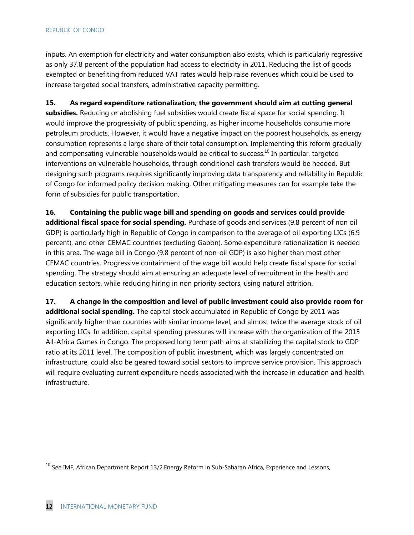#### REPUBLIC OF CONGO

inputs. An exemption for electricity and water consumption also exists, which is particularly regressive as only 37.8 percent of the population had access to electricity in 2011. Reducing the list of goods exempted or benefiting from reduced VAT rates would help raise revenues which could be used to increase targeted social transfers, administrative capacity permitting.

**15. As regard expenditure rationalization, the government should aim at cutting general subsidies.** Reducing or abolishing fuel subsidies would create fiscal space for social spending. It would improve the progressivity of public spending, as higher income households consume more petroleum products. However, it would have a negative impact on the poorest households, as energy consumption represents a large share of their total consumption. Implementing this reform gradually and compensating vulnerable households would be critical to success.<sup>10</sup> In particular, targeted interventions on vulnerable households, through conditional cash transfers would be needed. But designing such programs requires significantly improving data transparency and reliability in Republic of Congo for informed policy decision making. Other mitigating measures can for example take the form of subsidies for public transportation.

**16. Containing the public wage bill and spending on goods and services could provide additional fiscal space for social spending.** Purchase of goods and services (9.8 percent of non oil GDP) is particularly high in Republic of Congo in comparison to the average of oil exporting LICs (6.9 percent), and other CEMAC countries (excluding Gabon). Some expenditure rationalization is needed in this area. The wage bill in Congo (9.8 percent of non-oil GDP) is also higher than most other CEMAC countries. Progressive containment of the wage bill would help create fiscal space for social spending. The strategy should aim at ensuring an adequate level of recruitment in the health and education sectors, while reducing hiring in non priority sectors, using natural attrition.

**17. A change in the composition and level of public investment could also provide room for additional social spending.** The capital stock accumulated in Republic of Congo by 2011 was significantly higher than countries with similar income level, and almost twice the average stock of oil exporting LICs. In addition, capital spending pressures will increase with the organization of the 2015 All-Africa Games in Congo. The proposed long term path aims at stabilizing the capital stock to GDP ratio at its 2011 level. The composition of public investment, which was largely concentrated on infrastructure, could also be geared toward social sectors to improve service provision. This approach will require evaluating current expenditure needs associated with the increase in education and health infrastructure.

 $\overline{a}$ 

 $^{10}$  See IMF, African Department Report 13/2,Energy Reform in Sub-Saharan Africa, Experience and Lessons,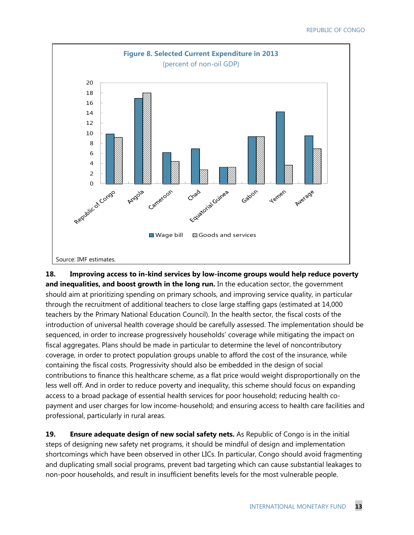

**18. Improving access to in-kind services by low-income groups would help reduce poverty and inequalities, and boost growth in the long run.** In the education sector, the government should aim at prioritizing spending on primary schools, and improving service quality, in particular through the recruitment of additional teachers to close large staffing gaps (estimated at 14,000 teachers by the Primary National Education Council). In the health sector, the fiscal costs of the introduction of universal health coverage should be carefully assessed. The implementation should be sequenced, in order to increase progressively households' coverage while mitigating the impact on fiscal aggregates. Plans should be made in particular to determine the level of noncontributory coverage, in order to protect population groups unable to afford the cost of the insurance, while containing the fiscal costs. Progressivity should also be embedded in the design of social contributions to finance this healthcare scheme, as a flat price would weight disproportionally on the less well off. And in order to reduce poverty and inequality, this scheme should focus on expanding access to a broad package of essential health services for poor household; reducing health copayment and user charges for low income-household; and ensuring access to health care facilities and professional, particularly in rural areas.

**19. Ensure adequate design of new social safety nets.** As Republic of Congo is in the initial steps of designing new safety net programs, it should be mindful of design and implementation shortcomings which have been observed in other LICs. In particular, Congo should avoid fragmenting and duplicating small social programs, prevent bad targeting which can cause substantial leakages to non-poor households, and result in insufficient benefits levels for the most vulnerable people.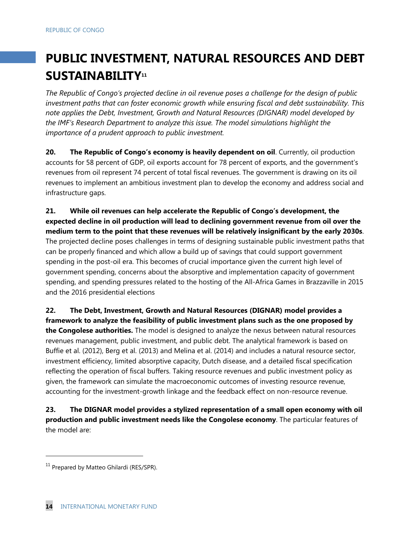# **PUBLIC INVESTMENT, NATURAL RESOURCES AND DEBT**  SUSTAINABILITY<sup>11</sup>

*The Republic of Congo's projected decline in oil revenue poses a challenge for the design of public investment paths that can foster economic growth while ensuring fiscal and debt sustainability. This note applies the Debt, Investment, Growth and Natural Resources (DIGNAR) model developed by the IMF's Research Department to analyze this issue. The model simulations highlight the importance of a prudent approach to public investment.* 

**20. The Republic of Congo's economy is heavily dependent on oil**. Currently, oil production accounts for 58 percent of GDP, oil exports account for 78 percent of exports, and the government's revenues from oil represent 74 percent of total fiscal revenues. The government is drawing on its oil revenues to implement an ambitious investment plan to develop the economy and address social and infrastructure gaps.

**21. While oil revenues can help accelerate the Republic of Congo's development, the expected decline in oil production will lead to declining government revenue from oil over the medium term to the point that these revenues will be relatively insignificant by the early 2030s**. The projected decline poses challenges in terms of designing sustainable public investment paths that can be properly financed and which allow a build up of savings that could support government spending in the post-oil era. This becomes of crucial importance given the current high level of government spending, concerns about the absorptive and implementation capacity of government spending, and spending pressures related to the hosting of the All-Africa Games in Brazzaville in 2015 and the 2016 presidential elections

**22. The Debt, Investment, Growth and Natural Resources (DIGNAR) model provides a framework to analyze the feasibility of public investment plans such as the one proposed by the Congolese authorities.** The model is designed to analyze the nexus between natural resources revenues management, public investment, and public debt. The analytical framework is based on Buffie et al. (2012), Berg et al. (2013) and Melina et al. (2014) and includes a natural resource sector, investment efficiency, limited absorptive capacity, Dutch disease, and a detailed fiscal specification reflecting the operation of fiscal buffers. Taking resource revenues and public investment policy as given, the framework can simulate the macroeconomic outcomes of investing resource revenue, accounting for the investment-growth linkage and the feedback effect on non-resource revenue.

**23. The DIGNAR model provides a stylized representation of a small open economy with oil production and public investment needs like the Congolese economy**. The particular features of the model are:

1

<sup>&</sup>lt;sup>11</sup> Prepared by Matteo Ghilardi (RES/SPR).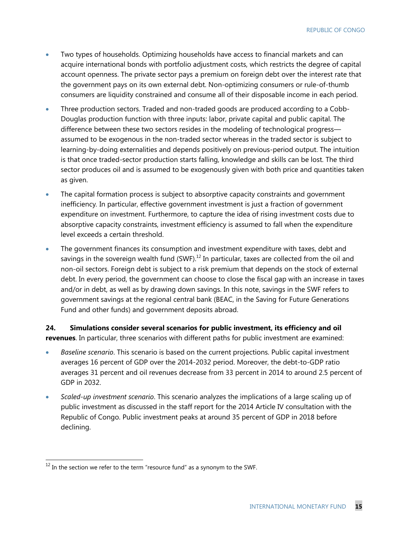- Two types of households. Optimizing households have access to financial markets and can acquire international bonds with portfolio adjustment costs, which restricts the degree of capital account openness. The private sector pays a premium on foreign debt over the interest rate that the government pays on its own external debt. Non-optimizing consumers or rule-of-thumb consumers are liquidity constrained and consume all of their disposable income in each period.
- Three production sectors. Traded and non-traded goods are produced according to a Cobb-Douglas production function with three inputs: labor, private capital and public capital. The difference between these two sectors resides in the modeling of technological progress assumed to be exogenous in the non-traded sector whereas in the traded sector is subject to learning-by-doing externalities and depends positively on previous-period output. The intuition is that once traded-sector production starts falling, knowledge and skills can be lost. The third sector produces oil and is assumed to be exogenously given with both price and quantities taken as given.
- The capital formation process is subject to absorptive capacity constraints and government inefficiency*.* In particular, effective government investment is just a fraction of government expenditure on investment. Furthermore, to capture the idea of rising investment costs due to absorptive capacity constraints, investment efficiency is assumed to fall when the expenditure level exceeds a certain threshold.
- The government finances its consumption and investment expenditure with taxes, debt and savings in the sovereign wealth fund  $(SWF)$ <sup>12</sup> In particular, taxes are collected from the oil and non-oil sectors. Foreign debt is subject to a risk premium that depends on the stock of external debt. In every period, the government can choose to close the fiscal gap with an increase in taxes and/or in debt, as well as by drawing down savings. In this note, savings in the SWF refers to government savings at the regional central bank (BEAC, in the Saving for Future Generations Fund and other funds) and government deposits abroad.

**24. Simulations consider several scenarios for public investment, its efficiency and oil revenues**. In particular, three scenarios with different paths for public investment are examined:

- *Baseline scenario*. This scenario is based on the current projections. Public capital investment averages 16 percent of GDP over the 2014-2032 period. Moreover, the debt-to-GDP ratio averages 31 percent and oil revenues decrease from 33 percent in 2014 to around 2.5 percent of GDP in 2032.
- *Scaled-up investment scenario*. This scenario analyzes the implications of a large scaling up of public investment as discussed in the staff report for the 2014 Article IV consultation with the Republic of Congo. Public investment peaks at around 35 percent of GDP in 2018 before declining.

-

 $^{12}$  In the section we refer to the term "resource fund" as a synonym to the SWF.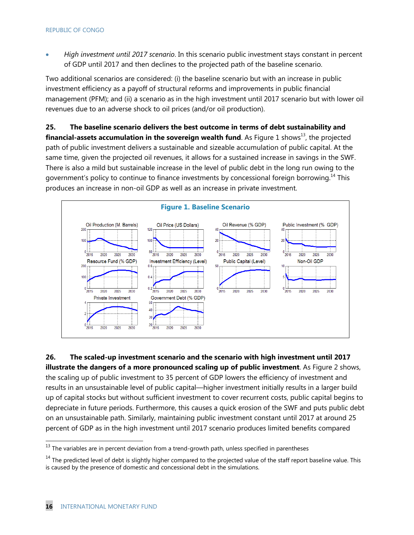*High investment until 2017 scenario*. In this scenario public investment stays constant in percent of GDP until 2017 and then declines to the projected path of the baseline scenario.

Two additional scenarios are considered: (i) the baseline scenario but with an increase in public investment efficiency as a payoff of structural reforms and improvements in public financial management (PFM); and (ii) a scenario as in the high investment until 2017 scenario but with lower oil revenues due to an adverse shock to oil prices (and/or oil production).

**25. The baseline scenario delivers the best outcome in terms of debt sustainability and financial-assets accumulation in the sovereign wealth fund**. As Figure 1 shows<sup>13</sup>, the projected path of public investment delivers a sustainable and sizeable accumulation of public capital. At the same time, given the projected oil revenues, it allows for a sustained increase in savings in the SWF. There is also a mild but sustainable increase in the level of public debt in the long run owing to the government's policy to continue to finance investments by concessional foreign borrowing.<sup>14</sup> This produces an increase in non-oil GDP as well as an increase in private investment.



**26. The scaled-up investment scenario and the scenario with high investment until 2017 illustrate the dangers of a more pronounced scaling up of public investment**. As Figure 2 shows, the scaling up of public investment to 35 percent of GDP lowers the efficiency of investment and results in an unsustainable level of public capital—higher investment initially results in a larger build up of capital stocks but without sufficient investment to cover recurrent costs, public capital begins to depreciate in future periods. Furthermore, this causes a quick erosion of the SWF and puts public debt on an unsustainable path. Similarly, maintaining public investment constant until 2017 at around 25 percent of GDP as in the high investment until 2017 scenario produces limited benefits compared

-

 $^{13}$  The variables are in percent deviation from a trend-growth path, unless specified in parentheses

<sup>&</sup>lt;sup>14</sup> The predicted level of debt is slightly higher compared to the projected value of the staff report baseline value. This is caused by the presence of domestic and concessional debt in the simulations.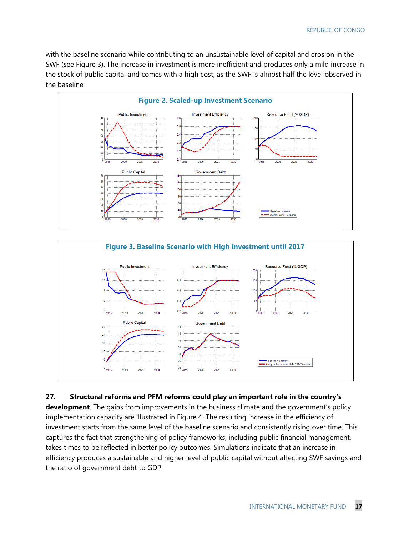with the baseline scenario while contributing to an unsustainable level of capital and erosion in the SWF (see Figure 3). The increase in investment is more inefficient and produces only a mild increase in the stock of public capital and comes with a high cost, as the SWF is almost half the level observed in the baseline



#### **27. Structural reforms and PFM reforms could play an important role in the country's**

**development**. The gains from improvements in the business climate and the government's policy implementation capacity are illustrated in Figure 4. The resulting increase in the efficiency of investment starts from the same level of the baseline scenario and consistently rising over time. This captures the fact that strengthening of policy frameworks, including public financial management, takes times to be reflected in better policy outcomes. Simulations indicate that an increase in efficiency produces a sustainable and higher level of public capital without affecting SWF savings and the ratio of government debt to GDP.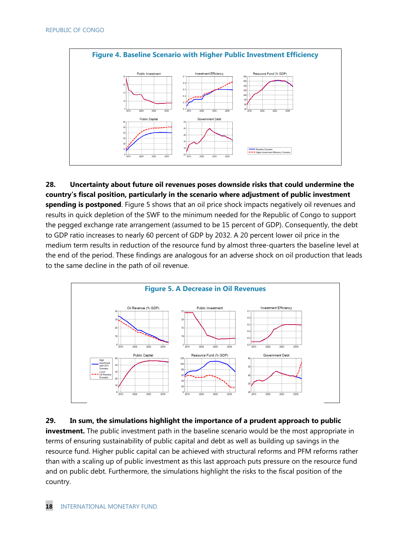

**28. Uncertainty about future oil revenues poses downside risks that could undermine the country's fiscal position, particularly in the scenario where adjustment of public investment spending is postponed**. Figure 5 shows that an oil price shock impacts negatively oil revenues and results in quick depletion of the SWF to the minimum needed for the Republic of Congo to support the pegged exchange rate arrangement (assumed to be 15 percent of GDP). Consequently, the debt to GDP ratio increases to nearly 60 percent of GDP by 2032. A 20 percent lower oil price in the medium term results in reduction of the resource fund by almost three-quarters the baseline level at the end of the period. These findings are analogous for an adverse shock on oil production that leads to the same decline in the path of oil revenue.



**29. In sum, the simulations highlight the importance of a prudent approach to public investment.** The public investment path in the baseline scenario would be the most appropriate in terms of ensuring sustainability of public capital and debt as well as building up savings in the resource fund. Higher public capital can be achieved with structural reforms and PFM reforms rather than with a scaling up of public investment as this last approach puts pressure on the resource fund and on public debt. Furthermore, the simulations highlight the risks to the fiscal position of the country.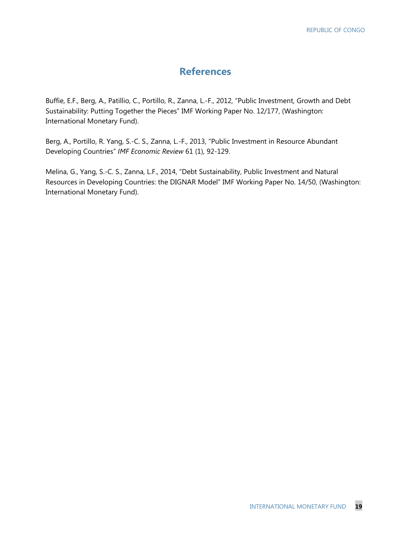#### **References**

Buffie, E.F., Berg, A., Patillio, C., Portillo, R., Zanna, L.-F., 2012, "Public Investment, Growth and Debt Sustainability: Putting Together the Pieces" IMF Working Paper No. 12/177, (Washington: International Monetary Fund).

Berg, A., Portillo, R. Yang, S.-C. S., Zanna, L.-F., 2013, "Public Investment in Resource Abundant Developing Countries" *IMF Economic Review* 61 (1), 92-129.

Melina, G., Yang, S.-C. S., Zanna, L.F., 2014, "Debt Sustainability, Public Investment and Natural Resources in Developing Countries: the DIGNAR Model" IMF Working Paper No. 14/50, (Washington: International Monetary Fund).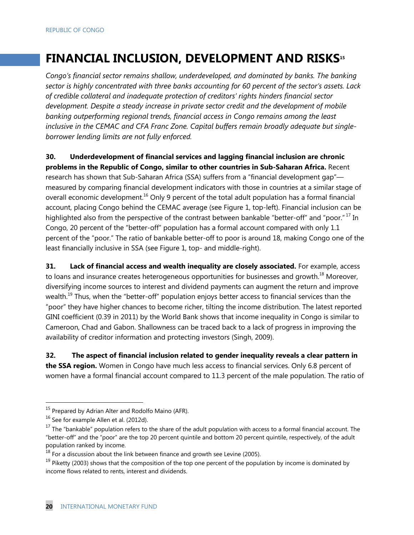## **FINANCIAL INCLUSION, DEVELOPMENT AND RISKS15**

*Congo's financial sector remains shallow, underdeveloped, and dominated by banks. The banking sector is highly concentrated with three banks accounting for 60 percent of the sector's assets. Lack of credible collateral and inadequate protection of creditors' rights hinders financial sector development. Despite a steady increase in private sector credit and the development of mobile banking outperforming regional trends, financial access in Congo remains among the least inclusive in the CEMAC and CFA Franc Zone. Capital buffers remain broadly adequate but singleborrower lending limits are not fully enforced.* 

**30. Underdevelopment of financial services and lagging financial inclusion are chronic problems in the Republic of Congo, similar to other countries in Sub-Saharan Africa.** Recent research has shown that Sub-Saharan Africa (SSA) suffers from a "financial development gap" measured by comparing financial development indicators with those in countries at a similar stage of overall economic development.<sup>16</sup> Only 9 percent of the total adult population has a formal financial account, placing Congo behind the CEMAC average (see Figure 1, top-left). Financial inclusion can be highlighted also from the perspective of the contrast between bankable "better-off" and "poor."<sup>17</sup> In Congo, 20 percent of the "better-off" population has a formal account compared with only 1.1 percent of the "poor." The ratio of bankable better-off to poor is around 18, making Congo one of the least financially inclusive in SSA (see Figure 1, top- and middle-right).

**31. Lack of financial access and wealth inequality are closely associated.** For example, access to loans and insurance creates heterogeneous opportunities for businesses and growth.<sup>18</sup> Moreover, diversifying income sources to interest and dividend payments can augment the return and improve wealth.<sup>19</sup> Thus, when the "better-off" population enjoys better access to financial services than the "poor" they have higher chances to become richer, tilting the income distribution. The latest reported GINI coefficient (0.39 in 2011) by the World Bank shows that income inequality in Congo is similar to Cameroon, Chad and Gabon. Shallowness can be traced back to a lack of progress in improving the availability of creditor information and protecting investors (Singh, 2009).

**32. The aspect of financial inclusion related to gender inequality reveals a clear pattern in the SSA region.** Women in Congo have much less access to financial services. Only 6.8 percent of women have a formal financial account compared to 11.3 percent of the male population. The ratio of

 $\overline{a}$ 

<sup>&</sup>lt;sup>15</sup> Prepared by Adrian Alter and Rodolfo Maino (AFR).

<sup>&</sup>lt;sup>16</sup> See for example Allen et al. (2012d).

 $17$  The "bankable" population refers to the share of the adult population with access to a formal financial account. The "better-off" and the "poor" are the top 20 percent quintile and bottom 20 percent quintile, respectively, of the adult population ranked by income.

<sup>18</sup> For a discussion about the link between finance and growth see Levine (2005).

<sup>&</sup>lt;sup>19</sup> Piketty (2003) shows that the composition of the top one percent of the population by income is dominated by income flows related to rents, interest and dividends.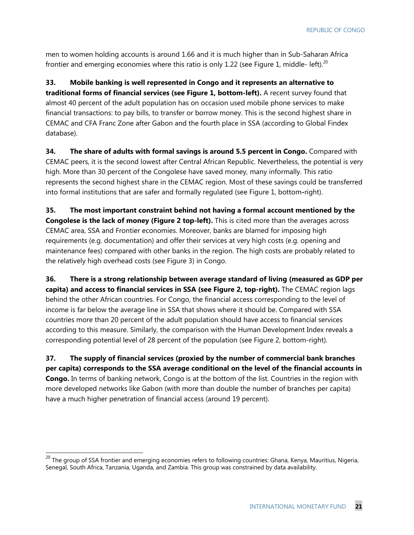men to women holding accounts is around 1.66 and it is much higher than in Sub-Saharan Africa frontier and emerging economies where this ratio is only 1.22 (see Figure 1, middle- left).<sup>20</sup>

**33. Mobile banking is well represented in Congo and it represents an alternative to traditional forms of financial services (see Figure 1, bottom-left).** A recent survey found that almost 40 percent of the adult population has on occasion used mobile phone services to make financial transactions: to pay bills, to transfer or borrow money. This is the second highest share in CEMAC and CFA Franc Zone after Gabon and the fourth place in SSA (according to Global Findex database).

**34. The share of adults with formal savings is around 5.5 percent in Congo.** Compared with CEMAC peers, it is the second lowest after Central African Republic. Nevertheless, the potential is very high. More than 30 percent of the Congolese have saved money, many informally. This ratio represents the second highest share in the CEMAC region. Most of these savings could be transferred into formal institutions that are safer and formally regulated (see Figure 1, bottom**-**right).

**35. The most important constraint behind not having a formal account mentioned by the Congolese is the lack of money (Figure 2 top-left).** This is cited more than the averages across CEMAC area, SSA and Frontier economies. Moreover, banks are blamed for imposing high requirements (e.g. documentation) and offer their services at very high costs (e.g. opening and maintenance fees) compared with other banks in the region. The high costs are probably related to the relatively high overhead costs (see Figure 3) in Congo.

**36. There is a strong relationship between average standard of living (measured as GDP per capita) and access to financial services in SSA (see Figure 2, top-right).** The CEMAC region lags behind the other African countries. For Congo, the financial access corresponding to the level of income is far below the average line in SSA that shows where it should be. Compared with SSA countries more than 20 percent of the adult population should have access to financial services according to this measure. Similarly, the comparison with the Human Development Index reveals a corresponding potential level of 28 percent of the population (see Figure 2, bottom-right).

**37. The supply of financial services (proxied by the number of commercial bank branches per capita) corresponds to the SSA average conditional on the level of the financial accounts in Congo.** In terms of banking network, Congo is at the bottom of the list. Countries in the region with more developed networks like Gabon (with more than double the number of branches per capita) have a much higher penetration of financial access (around 19 percent).

 $\overline{a}$ 

 $^{20}$  The group of SSA frontier and emerging economies refers to following countries: Ghana, Kenya, Mauritius, Nigeria, Senegal, South Africa, Tanzania, Uganda, and Zambia. This group was constrained by data availability.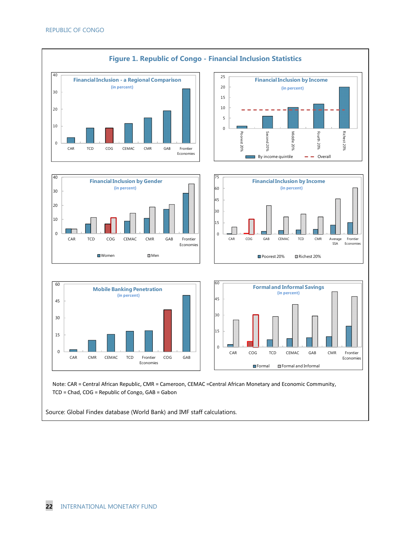

Source: Global Findex database (World Bank) and IMF staff calculations.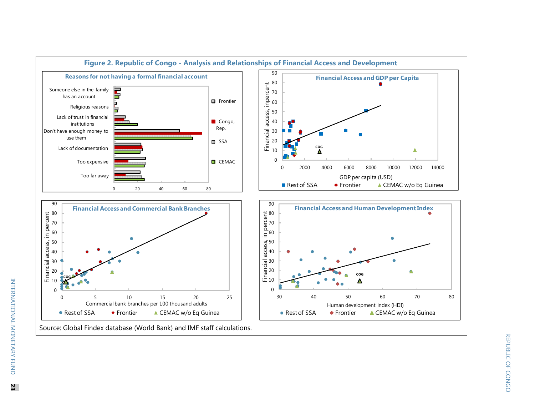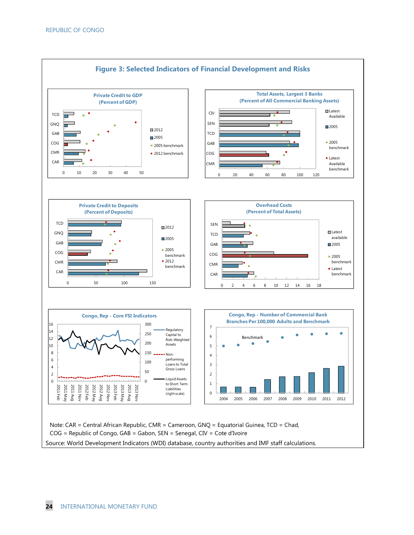

Source: World Development Indicators (WDI) database, country authorities and IMF staff calculations.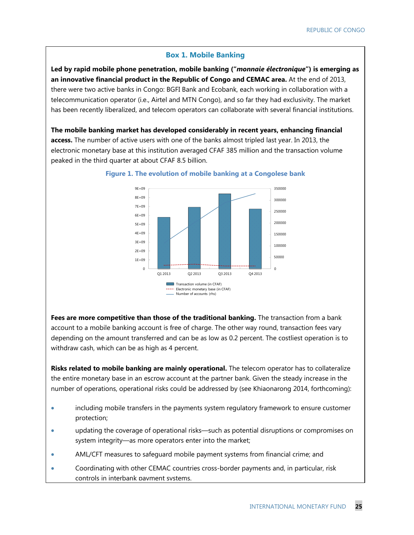#### **Box 1. Mobile Banking**

**Led by rapid mobile phone penetration, mobile banking ("***monnaie électronique***") is emerging as an innovative financial product in the Republic of Congo and CEMAC area.** At the end of 2013, there were two active banks in Congo: BGFI Bank and Ecobank, each working in collaboration with a telecommunication operator (i.e., Airtel and MTN Congo), and so far they had exclusivity. The market has been recently liberalized, and telecom operators can collaborate with several financial institutions.

**The mobile banking market has developed considerably in recent years, enhancing financial access.** The number of active users with one of the banks almost tripled last year. In 2013, the electronic monetary base at this institution averaged CFAF 385 million and the transaction volume peaked in the third quarter at about CFAF 8.5 billion.



#### **Figure 1. The evolution of mobile banking at a Congolese bank**

**Fees are more competitive than those of the traditional banking.** The transaction from a bank account to a mobile banking account is free of charge. The other way round, transaction fees vary depending on the amount transferred and can be as low as 0.2 percent. The costliest operation is to withdraw cash, which can be as high as 4 percent.

**Risks related to mobile banking are mainly operational.** The telecom operator has to collateralize the entire monetary base in an escrow account at the partner bank. Given the steady increase in the number of operations, operational risks could be addressed by (see Khiaonarong 2014, forthcoming):

- including mobile transfers in the payments system regulatory framework to ensure customer protection;
- updating the coverage of operational risks—such as potential disruptions or compromises on system integrity—as more operators enter into the market;
- AML/CFT measures to safeguard mobile payment systems from financial crime; and
- Coordinating with other CEMAC countries cross-border payments and, in particular, risk controls in interbank payment systems.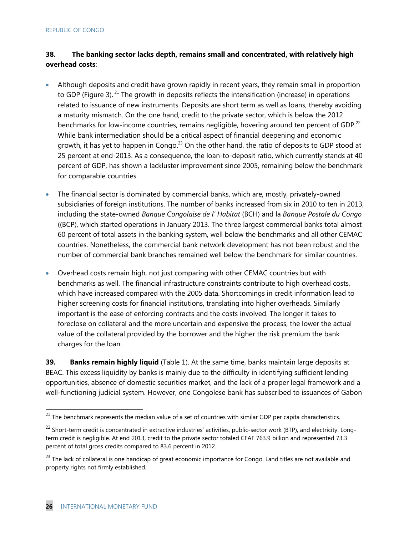#### **38. The banking sector lacks depth, remains small and concentrated, with relatively high overhead costs**:

- Although deposits and credit have grown rapidly in recent years, they remain small in proportion to GDP (Figure 3). <sup>21</sup> The growth in deposits reflects the intensification (increase) in operations related to issuance of new instruments. Deposits are short term as well as loans, thereby avoiding a maturity mismatch. On the one hand, credit to the private sector, which is below the 2012 benchmarks for low-income countries, remains negligible, hovering around ten percent of GDP.<sup>22</sup> While bank intermediation should be a critical aspect of financial deepening and economic growth, it has yet to happen in Congo. $^{23}$  On the other hand, the ratio of deposits to GDP stood at 25 percent at end-2013. As a consequence, the loan-to-deposit ratio, which currently stands at 40 percent of GDP, has shown a lackluster improvement since 2005, remaining below the benchmark for comparable countries.
- The financial sector is dominated by commercial banks, which are, mostly, privately-owned subsidiaries of foreign institutions. The number of banks increased from six in 2010 to ten in 2013, including the state-owned *Banque Congolaise de l' Habitat* (BCH) and la *Banque Postale du Congo* ((BCP), which started operations in January 2013. The three largest commercial banks total almost 60 percent of total assets in the banking system, well below the benchmarks and all other CEMAC countries. Nonetheless, the commercial bank network development has not been robust and the number of commercial bank branches remained well below the benchmark for similar countries.
- Overhead costs remain high, not just comparing with other CEMAC countries but with benchmarks as well. The financial infrastructure constraints contribute to high overhead costs, which have increased compared with the 2005 data. Shortcomings in credit information lead to higher screening costs for financial institutions, translating into higher overheads. Similarly important is the ease of enforcing contracts and the costs involved. The longer it takes to foreclose on collateral and the more uncertain and expensive the process, the lower the actual value of the collateral provided by the borrower and the higher the risk premium the bank charges for the loan.

**39. Banks remain highly liquid** (Table 1). At the same time, banks maintain large deposits at BEAC. This excess liquidity by banks is mainly due to the difficulty in identifying sufficient lending opportunities, absence of domestic securities market, and the lack of a proper legal framework and a well-functioning judicial system. However, one Congolese bank has subscribed to issuances of Gabon

-

 $^{21}$  The benchmark represents the median value of a set of countries with similar GDP per capita characteristics.

<sup>&</sup>lt;sup>22</sup> Short-term credit is concentrated in extractive industries' activities, public-sector work (BTP), and electricity. Longterm credit is negligible. At end 2013, credit to the private sector totaled CFAF 763.9 billion and represented 73.3 percent of total gross credits compared to 83.6 percent in 2012.

<sup>&</sup>lt;sup>23</sup> The lack of collateral is one handicap of great economic importance for Congo. Land titles are not available and property rights not firmly established.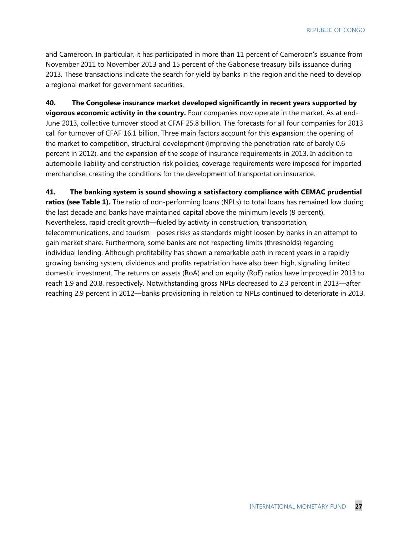and Cameroon. In particular, it has participated in more than 11 percent of Cameroon's issuance from November 2011 to November 2013 and 15 percent of the Gabonese treasury bills issuance during 2013. These transactions indicate the search for yield by banks in the region and the need to develop a regional market for government securities.

**40. The Congolese insurance market developed significantly in recent years supported by vigorous economic activity in the country.** Four companies now operate in the market. As at end-June 2013, collective turnover stood at CFAF 25.8 billion. The forecasts for all four companies for 2013 call for turnover of CFAF 16.1 billion. Three main factors account for this expansion: the opening of the market to competition, structural development (improving the penetration rate of barely 0.6 percent in 2012), and the expansion of the scope of insurance requirements in 2013. In addition to automobile liability and construction risk policies, coverage requirements were imposed for imported merchandise, creating the conditions for the development of transportation insurance.

**41. The banking system is sound showing a satisfactory compliance with CEMAC prudential ratios (see Table 1).** The ratio of non-performing loans (NPLs) to total loans has remained low during the last decade and banks have maintained capital above the minimum levels (8 percent). Nevertheless, rapid credit growth—fueled by activity in construction, transportation, telecommunications, and tourism—poses risks as standards might loosen by banks in an attempt to gain market share. Furthermore, some banks are not respecting limits (thresholds) regarding individual lending. Although profitability has shown a remarkable path in recent years in a rapidly growing banking system, dividends and profits repatriation have also been high, signaling limited domestic investment. The returns on assets (RoA) and on equity (RoE) ratios have improved in 2013 to reach 1.9 and 20.8, respectively. Notwithstanding gross NPLs decreased to 2.3 percent in 2013—after reaching 2.9 percent in 2012—banks provisioning in relation to NPLs continued to deteriorate in 2013.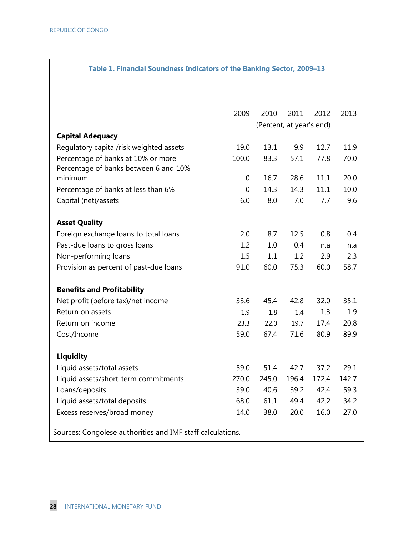|                                         | 2009        | 2010  | 2011                     | 2012  | 2013  |
|-----------------------------------------|-------------|-------|--------------------------|-------|-------|
|                                         |             |       | (Percent, at year's end) |       |       |
| <b>Capital Adequacy</b>                 |             |       |                          |       |       |
| Regulatory capital/risk weighted assets | 19.0        | 13.1  | 9.9                      | 12.7  | 11.9  |
| Percentage of banks at 10% or more      | 100.0       | 83.3  | 57.1                     | 77.8  | 70.0  |
| Percentage of banks between 6 and 10%   |             |       |                          |       |       |
| minimum                                 | $\mathbf 0$ | 16.7  | 28.6                     | 11.1  | 20.0  |
| Percentage of banks at less than 6%     | 0           | 14.3  | 14.3                     | 11.1  | 10.0  |
| Capital (net)/assets                    | 6.0         | 8.0   | 7.0                      | 7.7   | 9.6   |
| <b>Asset Quality</b>                    |             |       |                          |       |       |
| Foreign exchange loans to total loans   | 2.0         | 8.7   | 12.5                     | 0.8   | 0.4   |
| Past-due loans to gross loans           | 1.2         | 1.0   | 0.4                      | n.a   | n.a   |
| Non-performing loans                    | 1.5         | 1.1   | 1.2                      | 2.9   | 2.3   |
| Provision as percent of past-due loans  | 91.0        | 60.0  | 75.3                     | 60.0  | 58.7  |
| <b>Benefits and Profitability</b>       |             |       |                          |       |       |
| Net profit (before tax)/net income      | 33.6        | 45.4  | 42.8                     | 32.0  | 35.1  |
| Return on assets                        | 1.9         | 1.8   | 1.4                      | 1.3   | 1.9   |
| Return on income                        | 23.3        | 22.0  | 19.7                     | 17.4  | 20.8  |
| Cost/Income                             | 59.0        | 67.4  | 71.6                     | 80.9  | 89.9  |
| <b>Liquidity</b>                        |             |       |                          |       |       |
| Liquid assets/total assets              | 59.0        | 51.4  | 42.7                     | 37.2  | 29.1  |
| Liquid assets/short-term commitments    | 270.0       | 245.0 | 196.4                    | 172.4 | 142.7 |
| Loans/deposits                          | 39.0        | 40.6  | 39.2                     | 42.4  | 59.3  |
| Liquid assets/total deposits            | 68.0        | 61.1  | 49.4                     | 42.2  | 34.2  |
| Excess reserves/broad money             | 14.0        | 38.0  | 20.0                     | 16.0  | 27.0  |

#### **Table 1. Financial Soundness Indicators of the Banking Sector, 2009–13**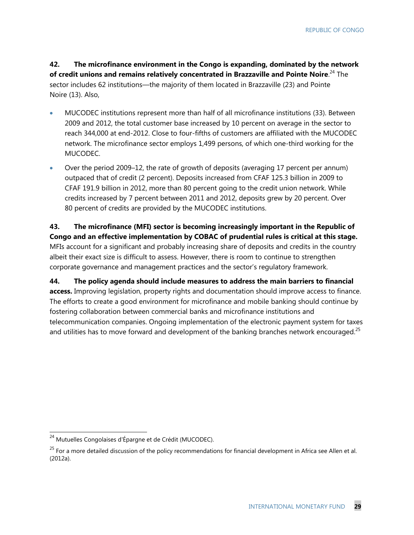**42. The microfinance environment in the Congo is expanding, dominated by the network of credit unions and remains relatively concentrated in Brazzaville and Pointe Noire**. 24 The sector includes 62 institutions—the majority of them located in Brazzaville (23) and Pointe Noire (13). Also,

- MUCODEC institutions represent more than half of all microfinance institutions (33). Between 2009 and 2012, the total customer base increased by 10 percent on average in the sector to reach 344,000 at end-2012. Close to four-fifths of customers are affiliated with the MUCODEC network. The microfinance sector employs 1,499 persons, of which one-third working for the MUCODEC.
- Over the period 2009–12, the rate of growth of deposits (averaging 17 percent per annum) outpaced that of credit (2 percent). Deposits increased from CFAF 125.3 billion in 2009 to CFAF 191.9 billion in 2012, more than 80 percent going to the credit union network. While credits increased by 7 percent between 2011 and 2012, deposits grew by 20 percent. Over 80 percent of credits are provided by the MUCODEC institutions.

**43. The microfinance (MFI) sector is becoming increasingly important in the Republic of Congo and an effective implementation by COBAC of prudential rules is critical at this stage.** MFIs account for a significant and probably increasing share of deposits and credits in the country albeit their exact size is difficult to assess. However, there is room to continue to strengthen corporate governance and management practices and the sector's regulatory framework.

**44. The policy agenda should include measures to address the main barriers to financial access.** Improving legislation, property rights and documentation should improve access to finance. The efforts to create a good environment for microfinance and mobile banking should continue by fostering collaboration between commercial banks and microfinance institutions and telecommunication companies. Ongoing implementation of the electronic payment system for taxes and utilities has to move forward and development of the banking branches network encouraged.<sup>25</sup>

-

<sup>&</sup>lt;sup>24</sup> Mutuelles Congolaises d'Épargne et de Crédit (MUCODEC).

 $^{25}$  For a more detailed discussion of the policy recommendations for financial development in Africa see Allen et al. (2012a).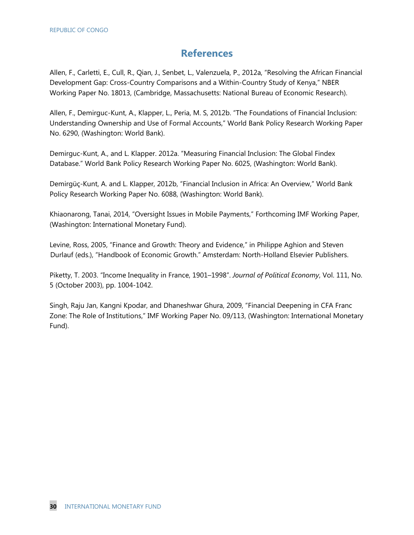#### **References**

Allen, F., Carletti, E., Cull, R., Qian, J., Senbet, L., Valenzuela, P., 2012a, "Resolving the African Financial Development Gap: Cross-Country Comparisons and a Within-Country Study of Kenya," NBER Working Paper No. 18013, (Cambridge, Massachusetts: National Bureau of Economic Research).

Allen, F., Demirguc-Kunt, A., Klapper, L., Peria, M. S, 2012b. "The Foundations of Financial Inclusion: Understanding Ownership and Use of Formal Accounts," World Bank Policy Research Working Paper No. 6290, (Washington: World Bank).

Demirguc-Kunt, A., and L. Klapper. 2012a. "Measuring Financial Inclusion: The Global Findex Database." World Bank Policy Research Working Paper No. 6025, (Washington: World Bank).

Demirgüç-Kunt, A. and L. Klapper, 2012b, "Financial Inclusion in Africa: An Overview," World Bank Policy Research Working Paper No. 6088, (Washington: World Bank).

Khiaonarong, Tanai, 2014, "Oversight Issues in Mobile Payments," Forthcoming IMF Working Paper, (Washington: International Monetary Fund).

Levine, Ross, 2005, "Finance and Growth: Theory and Evidence," in Philippe Aghion and Steven Durlauf (eds.), "Handbook of Economic Growth." Amsterdam: North-Holland Elsevier Publishers.

Piketty, T. 2003. "Income Inequality in France, 1901–1998". *Journal of Political Economy*, Vol. 111, No. 5 (October 2003), pp. 1004-1042.

Singh, Raju Jan, Kangni Kpodar, and Dhaneshwar Ghura, 2009, "Financial Deepening in CFA Franc Zone: The Role of Institutions," IMF Working Paper No. 09/113, (Washington: International Monetary Fund).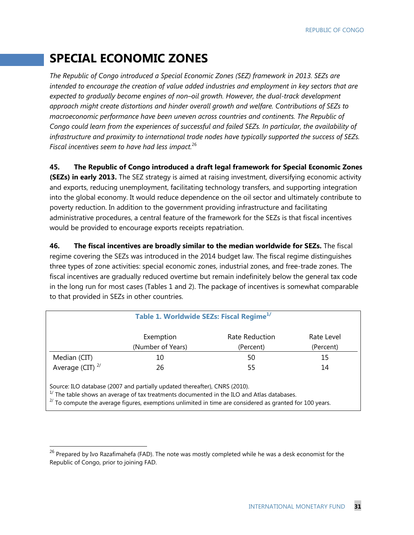### **SPECIAL ECONOMIC ZONES**

*The Republic of Congo introduced a Special Economic Zones (SEZ) framework in 2013. SEZs are intended to encourage the creation of value added industries and employment in key sectors that are expected to gradually become engines of non–oil growth. However, the dual-track development approach might create distortions and hinder overall growth and welfare. Contributions of SEZs to macroeconomic performance have been uneven across countries and continents. The Republic of Congo could learn from the experiences of successful and failed SEZs. In particular, the availability of infrastructure and proximity to international trade nodes have typically supported the success of SEZs. Fiscal incentives seem to have had less impact.*<sup>26</sup>

**45. The Republic of Congo introduced a draft legal framework for Special Economic Zones (SEZs) in early 2013.** The SEZ strategy is aimed at raising investment, diversifying economic activity and exports, reducing unemployment, facilitating technology transfers, and supporting integration into the global economy. It would reduce dependence on the oil sector and ultimately contribute to poverty reduction. In addition to the government providing infrastructure and facilitating administrative procedures, a central feature of the framework for the SEZs is that fiscal incentives would be provided to encourage exports receipts repatriation.

**46. The fiscal incentives are broadly similar to the median worldwide for SEZs.** The fiscal regime covering the SEZs was introduced in the 2014 budget law. The fiscal regime distinguishes three types of zone activities: special economic zones, industrial zones, and free-trade zones. The fiscal incentives are gradually reduced overtime but remain indefinitely below the general tax code in the long run for most cases (Tables 1 and 2). The package of incentives is somewhat comparable to that provided in SEZs in other countries.

| Table 1. Worldwide SEZs: Fiscal Regime <sup>1/</sup>                                                                                                                                                                                                                                     |                   |                |            |  |  |
|------------------------------------------------------------------------------------------------------------------------------------------------------------------------------------------------------------------------------------------------------------------------------------------|-------------------|----------------|------------|--|--|
|                                                                                                                                                                                                                                                                                          | Exemption         | Rate Reduction | Rate Level |  |  |
|                                                                                                                                                                                                                                                                                          | (Number of Years) | (Percent)      | (Percent)  |  |  |
| Median (CIT)                                                                                                                                                                                                                                                                             | 10                | 50             | 15         |  |  |
| Average (CIT) $^{2/}$                                                                                                                                                                                                                                                                    | 26                | 55             | 14         |  |  |
| Source: ILO database (2007 and partially updated thereafter), CNRS (2010).<br>$1/$ The table shows an average of tax treatments documented in the ILO and Atlas databases.<br>$2/$ To compute the average figures, exemptions unlimited in time are considered as granted for 100 years. |                   |                |            |  |  |

-

 $^{26}$  Prepared by Ivo Razafimahefa (FAD). The note was mostly completed while he was a desk economist for the Republic of Congo, prior to joining FAD.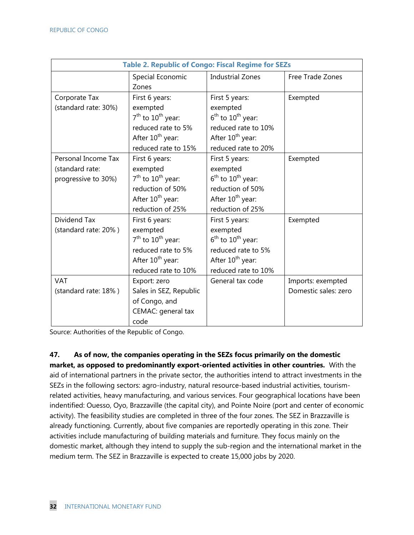| <b>Table 2. Republic of Congo: Fiscal Regime for SEZs</b> |                              |                              |                      |
|-----------------------------------------------------------|------------------------------|------------------------------|----------------------|
|                                                           | Special Economic             | <b>Industrial Zones</b>      | Free Trade Zones     |
|                                                           | Zones                        |                              |                      |
| Corporate Tax                                             | First 6 years:               | First 5 years:               | Exempted             |
| (standard rate: 30%)                                      | exempted                     | exempted                     |                      |
|                                                           | $7th$ to $10th$ year:        | $6th$ to $10th$ year:        |                      |
|                                                           | reduced rate to 5%           | reduced rate to 10%          |                      |
|                                                           | After 10 <sup>th</sup> year: | After 10 <sup>th</sup> year: |                      |
|                                                           | reduced rate to 15%          | reduced rate to 20%          |                      |
| Personal Income Tax                                       | First 6 years:               | First 5 years:               | Exempted             |
| (standard rate:                                           | exempted                     | exempted                     |                      |
| progressive to 30%)                                       | $7th$ to $10th$ year:        | $6th$ to $10th$ year:        |                      |
|                                                           | reduction of 50%             | reduction of 50%             |                      |
|                                                           | After 10 <sup>th</sup> year: | After 10 <sup>th</sup> year: |                      |
|                                                           | reduction of 25%             | reduction of 25%             |                      |
| Dividend Tax                                              | First 6 years:               | First 5 years:               | Exempted             |
| (standard rate: 20%)                                      | exempted                     | exempted                     |                      |
|                                                           | $7th$ to $10th$ year:        | $6th$ to $10th$ year:        |                      |
|                                                           | reduced rate to 5%           | reduced rate to 5%           |                      |
|                                                           | After 10 <sup>th</sup> year: | After 10 <sup>th</sup> year: |                      |
|                                                           | reduced rate to 10%          | reduced rate to 10%          |                      |
| <b>VAT</b>                                                | Export: zero                 | General tax code             | Imports: exempted    |
| (standard rate: 18%)                                      | Sales in SEZ, Republic       |                              | Domestic sales: zero |
|                                                           | of Congo, and                |                              |                      |
|                                                           | CEMAC: general tax           |                              |                      |
|                                                           | code                         |                              |                      |

Source: Authorities of the Republic of Congo.

**47. As of now, the companies operating in the SEZs focus primarily on the domestic market, as opposed to predominantly export-oriented activities in other countries.** With the aid of international partners in the private sector, the authorities intend to attract investments in the SEZs in the following sectors: agro-industry, natural resource-based industrial activities, tourismrelated activities, heavy manufacturing, and various services. Four geographical locations have been indentified: Ouesso, Oyo, Brazzaville (the capital city), and Pointe Noire (port and center of economic activity). The feasibility studies are completed in three of the four zones. The SEZ in Brazzaville is already functioning. Currently, about five companies are reportedly operating in this zone. Their activities include manufacturing of building materials and furniture. They focus mainly on the domestic market, although they intend to supply the sub-region and the international market in the medium term. The SEZ in Brazzaville is expected to create 15,000 jobs by 2020.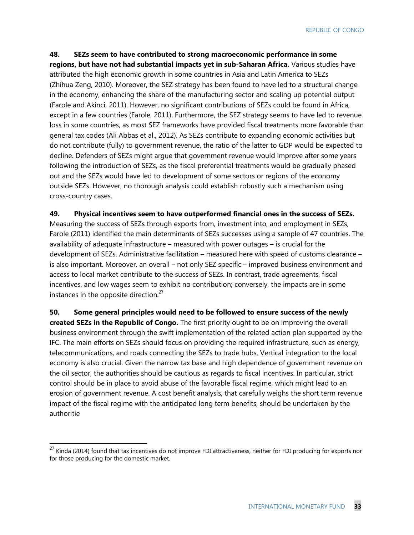REPUBLIC OF CONGO

**48. SEZs seem to have contributed to strong macroeconomic performance in some regions, but have not had substantial impacts yet in sub-Saharan Africa.** Various studies have attributed the high economic growth in some countries in Asia and Latin America to SEZs (Zhihua Zeng, 2010). Moreover, the SEZ strategy has been found to have led to a structural change in the economy, enhancing the share of the manufacturing sector and scaling up potential output (Farole and Akinci, 2011). However, no significant contributions of SEZs could be found in Africa, except in a few countries (Farole, 2011). Furthermore, the SEZ strategy seems to have led to revenue loss in some countries, as most SEZ frameworks have provided fiscal treatments more favorable than general tax codes (Ali Abbas et al., 2012). As SEZs contribute to expanding economic activities but do not contribute (fully) to government revenue, the ratio of the latter to GDP would be expected to decline. Defenders of SEZs might argue that government revenue would improve after some years following the introduction of SEZs, as the fiscal preferential treatments would be gradually phased out and the SEZs would have led to development of some sectors or regions of the economy outside SEZs. However, no thorough analysis could establish robustly such a mechanism using cross-country cases.

**49. Physical incentives seem to have outperformed financial ones in the success of SEZs.** Measuring the success of SEZs through exports from, investment into, and employment in SEZs, Farole (2011) identified the main determinants of SEZs successes using a sample of 47 countries. The availability of adequate infrastructure – measured with power outages – is crucial for the development of SEZs. Administrative facilitation – measured here with speed of customs clearance – is also important. Moreover, an overall – not only SEZ specific – improved business environment and access to local market contribute to the success of SEZs. In contrast, trade agreements, fiscal incentives, and low wages seem to exhibit no contribution; conversely, the impacts are in some instances in the opposite direction. $27$ 

**50. Some general principles would need to be followed to ensure success of the newly created SEZs in the Republic of Congo.** The first priority ought to be on improving the overall business environment through the swift implementation of the related action plan supported by the IFC. The main efforts on SEZs should focus on providing the required infrastructure, such as energy, telecommunications, and roads connecting the SEZs to trade hubs. Vertical integration to the local economy is also crucial. Given the narrow tax base and high dependence of government revenue on the oil sector, the authorities should be cautious as regards to fiscal incentives. In particular, strict control should be in place to avoid abuse of the favorable fiscal regime, which might lead to an erosion of government revenue. A cost benefit analysis, that carefully weighs the short term revenue impact of the fiscal regime with the anticipated long term benefits, should be undertaken by the authoritie

-

 $^{27}$  Kinda (2014) found that tax incentives do not improve FDI attractiveness, neither for FDI producing for exports nor for those producing for the domestic market.